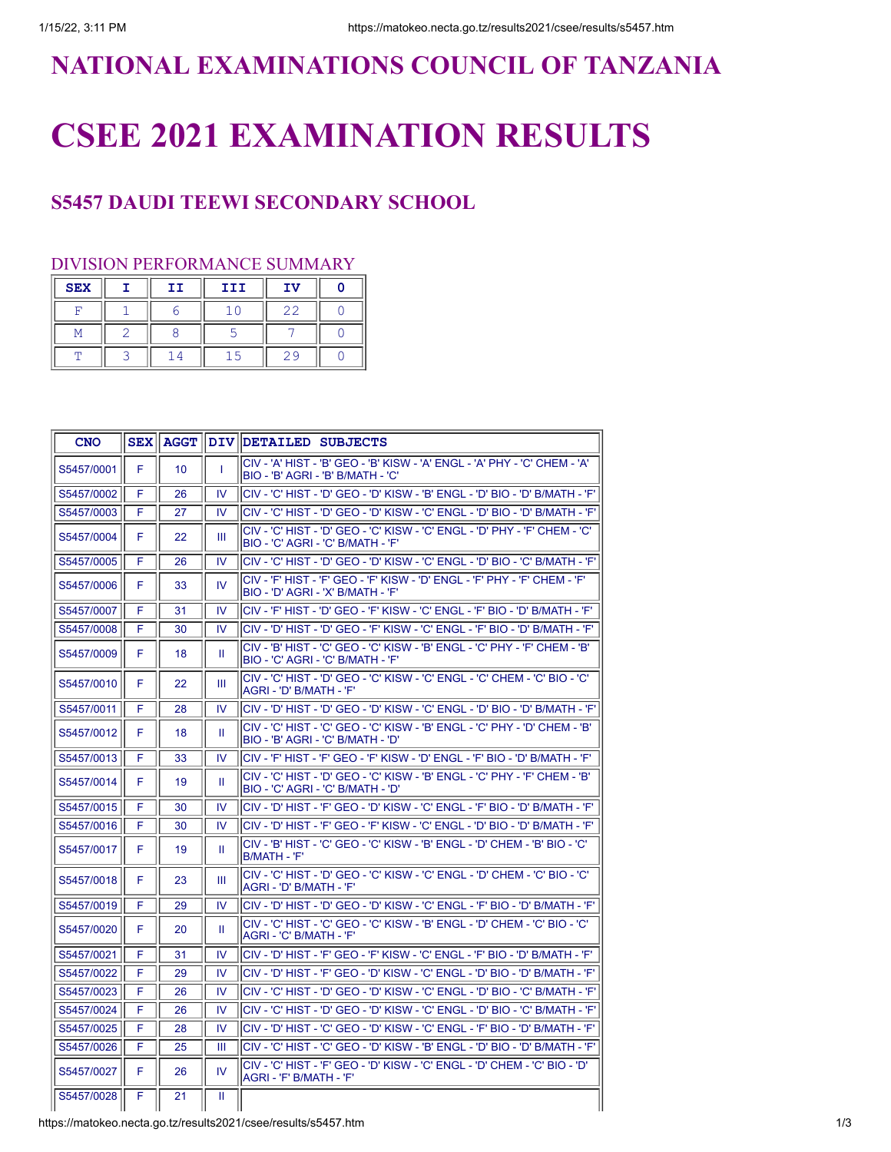## **NATIONAL EXAMINATIONS COUNCIL OF TANZANIA**

## **CSEE 2021 EXAMINATION RESULTS**

## **S5457 DAUDI TEEWI SECONDARY SCHOOL**

## DIVISION PERFORMANCE SUMMARY

| <b>SEX</b> | II | III | <b>IV</b> |  |
|------------|----|-----|-----------|--|
|            |    |     |           |  |
|            |    |     |           |  |
|            |    |     |           |  |

| <b>CNO</b> |   | <b>SEX AGGT</b> |               | DIV DETAILED SUBJECTS                                                                                                       |
|------------|---|-----------------|---------------|-----------------------------------------------------------------------------------------------------------------------------|
| S5457/0001 | F | 10              | T             | CIV - 'A' HIST - 'B' GEO - 'B' KISW - 'A' ENGL - 'A' PHY - 'C' CHEM - 'A'<br>BIO - 'B' AGRI - 'B' B/MATH - 'C'              |
| S5457/0002 | F | 26              | IV            | ICIV - 'C' HIST - 'D' GEO - 'D' KISW - 'B' ENGL - 'D' BIO - 'D' B/MATH - 'F'                                                |
| S5457/0003 | F | 27              | <b>IV</b>     | 'C' - 'C' HIST - 'D' GEO - 'D' KISW - 'C' ENGL - 'D' BIO - 'D' B/MATH - 'F                                                  |
| S5457/0004 | F | 22              | Ш             | CIV - 'C' HIST - 'D' GEO - 'C' KISW - 'C' ENGL - 'D' PHY - 'F' CHEM - 'C'<br>BIO - 'C' AGRI - 'C' B/MATH - 'F'              |
| S5457/0005 | F | 26              | IV            | lCIV - 'С' HIST - 'D' GEO - 'D' KISW - 'С' ENGL - 'D' BIO - 'С' В/МАТН - 'F'                                                |
| S5457/0006 | F | 33              | <b>IV</b>     | <sup>I</sup> CIV - 'F' HIST - 'F' GEO - 'F' KISW - 'D' ENGL - 'F' PHY - 'F' CHEM - 'F'<br>BIO - 'D' AGRI - 'X' B/MATH - 'F' |
| S5457/0007 | F | 31              | IV            | CIV - 'F' HIST - 'D' GEO - 'F' KISW - 'C' ENGL - 'F' BIO - 'D' B/MATH - 'F'                                                 |
| S5457/0008 | F | 30              | IV            | 'CIV - 'D' HIST - 'D' GEO - 'F' KISW - 'C' ENGL - 'F' BIO - 'D' B/MATH - 'F                                                 |
| S5457/0009 | F | 18              | Ш             | CIV - 'B' HIST - 'C' GEO - 'C' KISW - 'B' ENGL - 'C' PHY - 'F' CHEM - 'B'<br>BIO - 'C' AGRI - 'C' B/MATH - 'F'              |
| S5457/0010 | F | 22              | Ш             | 'CIV - 'C' HIST - 'D' GEO - 'C' KISW - 'C' ENGL - 'C' CHEM - 'C' BIO - 'C'<br>AGRI - 'D' B/MATH - 'F'                       |
| S5457/0011 | F | 28              | $\mathsf{IV}$ | 'CIV - 'D' HIST - 'D' GEO - 'D' KISW - 'C' ENGL - 'D' BIO - 'D' B/MATH - 'F                                                 |
| S5457/0012 | F | 18              | Ш             | <sup> </sup> CIV - 'C' HIST - 'C' GEO - 'C' KISW - 'B' ENGL - 'C' PHY - 'D' CHEM - 'B'<br>BIO - 'B' AGRI - 'C' B/MATH - 'D' |
| S5457/0013 | F | 33              | <b>IV</b>     | ICIV - 'F' HIST - 'F' GEO - 'F' KISW - 'D' ENGL - 'F' BIO - 'D' B/MATH - 'F'                                                |
| S5457/0014 | F | 19              | Ш             | <sup> </sup> CIV - 'C' HIST - 'D' GEO - 'C' KISW - 'B' ENGL - 'C' PHY - 'F' CHEM - 'B'<br>BIO - 'C' AGRI - 'C' B/MATH - 'D' |
| S5457/0015 | F | 30              | IV            | 'C' HIST - 'F' GEO - 'D' KISW - 'C' ENGL - 'F' BIO - 'D' B/MATH - 'F'                                                       |
| S5457/0016 | F | 30              | IV            | 'CIV - 'D' HIST - 'F' GEO - 'F' KISW - 'C' ENGL - 'D' BIO - 'D' B/MATH - 'F                                                 |
| S5457/0017 | F | 19              | Ш             | <sup>I</sup> CIV - 'B' HIST - 'C' GEO - 'C' KISW - 'B' ENGL - 'D' CHEM - 'B' BIO - 'C'<br>IB/MATH - 'F'                     |
| S5457/0018 | F | 23              | Ш             | 'CIV - 'C' HIST - 'D' GEO - 'C' KISW - 'C' ENGL - 'D' CHEM - 'C' BIO - 'C'<br>AGRI - 'D' B/MATH - 'F'                       |
| S5457/0019 | F | 29              | <b>IV</b>     | 'E' V - 'D' HIST - 'D' GEO - 'D' KISW - 'C' ENGL - 'F' BIO - 'D' B/MATH - 'F                                                |
| S5457/0020 | F | 20              | H.            | <sup>I</sup> CIV - 'C' HIST - 'C' GEO - 'C' KISW - 'B' ENGL - 'D' CHEM - 'C' BIO - 'C'<br>AGRI - 'C' B/MATH - 'F'           |
| S5457/0021 | F | 31              | <b>IV</b>     | <sup>I</sup> CIV - 'D' HIST - 'F' GEO - 'F' KISW - 'C' ENGL - 'F' BIO - 'D' B/MATH - 'F'                                    |
| S5457/0022 | F | 29              | <b>IV</b>     | lCIV - 'D' HIST - 'F' GEO - 'D' KISW - 'C' ENGL - 'D' BIO - 'D' В/МАТН - 'F'                                                |
| S5457/0023 | F | 26              | 1V            | <sup>I</sup> CIV - 'C' HIST - 'D' GEO - 'D' KISW - 'C' ENGL - 'D' BIO - 'C' B/MATH - 'F'                                    |
| S5457/0024 | F | 26              | IV            | CIV - 'C' HIST - 'D' GEO - 'D' KISW - 'C' ENGL - 'D' BIO - 'C' B/MATH - 'F'                                                 |
| S5457/0025 | F | 28              | IV            | <sup>I</sup> CIV - 'D' HIST - 'C' GEO - 'D' KISW - 'C' ENGL - 'F' BIO - 'D' B/MATH - 'F'                                    |
| S5457/0026 | F | 25              | Ш             | 'CIV - 'C' HIST - 'C' GEO - 'D' KISW - 'B' ENGL - 'D' BIO - 'D' B/MATH - 'F                                                 |
| S5457/0027 | F | 26              | IV            | <sup>I</sup> CIV - 'C' HIST - 'F' GEO - 'D' KISW - 'C' ENGL - 'D' CHEM - 'C' BIO - 'D'<br>AGRI - 'F' B/MATH - 'F'           |
| S5457/0028 | F | 21              | Ш             |                                                                                                                             |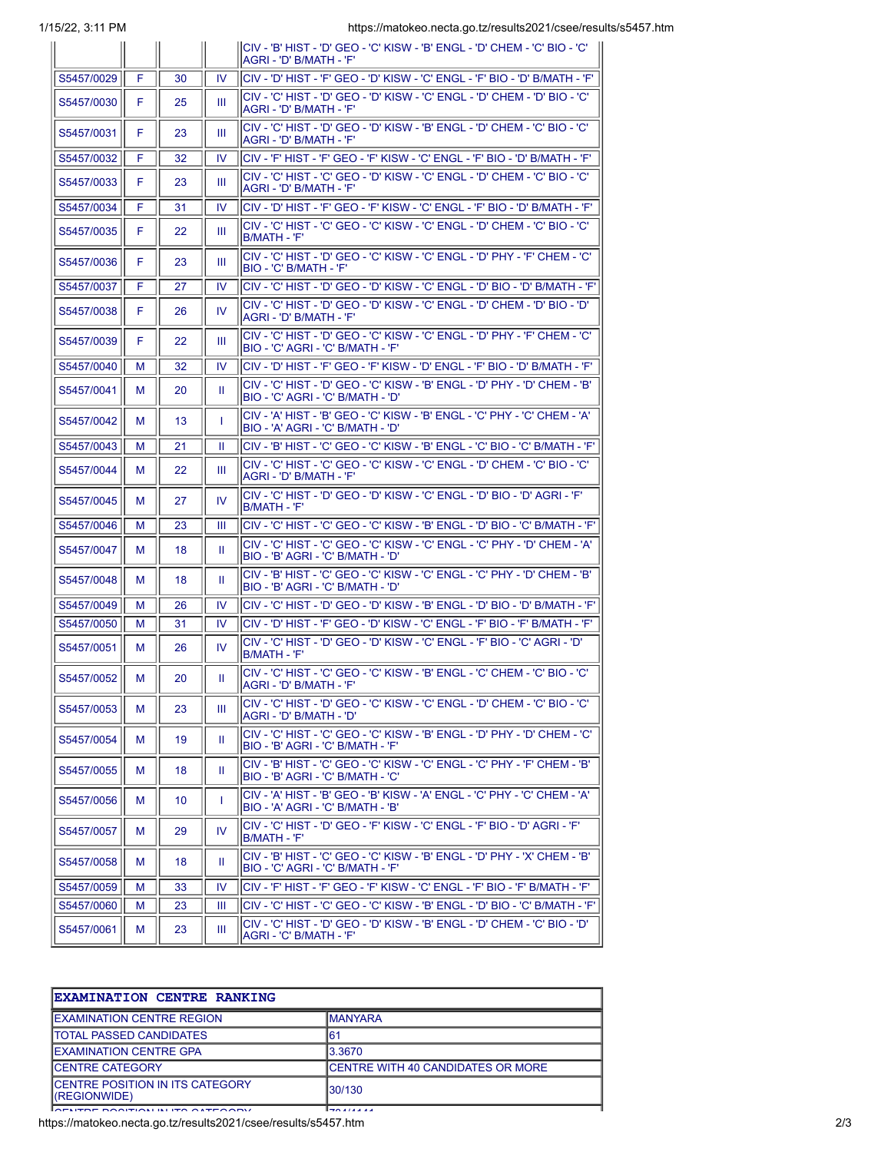1/15/22, 3:11 PM https://matokeo.necta.go.tz/results2021/csee/results/s5457.htm

| $1J/ZZ$ , $J.11$ $\Gamma$ IVI |   |                 |           | Thes://Tratokeo.flecta.go.tz/resultszuz f/csee/resul                                                               |
|-------------------------------|---|-----------------|-----------|--------------------------------------------------------------------------------------------------------------------|
|                               |   |                 |           | CIV - 'B' HIST - 'D' GEO - 'C' KISW - 'B' ENGL - 'D' CHEM - 'C' BIO - 'C'<br>IAGRI - 'D' B/MATH - 'F'              |
| S5457/0029                    | F | 30              | <b>IV</b> | lCIV - 'D' HIST - 'F' GEO - 'D' KISW - 'C' ENGL - 'F' BIO - 'D' B/MATH - 'F'                                       |
| S5457/0030                    | F | 25              | Ш         | ICIV - 'C' HIST - 'D' GEO - 'D' KISW - 'C' ENGL - 'D' CHEM - 'D' BIO - 'C'<br>AGRI - 'D' B/MATH - 'F'              |
| S5457/0031                    | F | 23              | Ш         | ICIV - 'C' HIST - 'D' GEO - 'D' KISW - 'B' ENGL - 'D' CHEM - 'C' BIO - 'C'<br>IAGRI - 'D' B/MATH - 'F'             |
| S5457/0032                    | F | 32              | IV.       | CIV - 'F' HIST - 'F' GEO - 'F' KISW - 'C' ENGL - 'F' BIO - 'D' B/MATH - 'F'                                        |
| S5457/0033                    | F | 23              | Ш         | 'CIV - 'C' HIST - 'C' GEO - 'D' KISW - 'C' ENGL - 'D' CHEM - 'C' BIO - 'C<br> AGRI - 'D' B/MATH - 'F'              |
| S5457/0034                    | F | 31              | IV        | lCIV - 'D' HIST - 'F' GEO - 'F' KISW - 'C' ENGL - 'F' BIO - 'D' B/MATH - 'F'                                       |
| S5457/0035                    | F | 22              | Ш         | CIV - 'C' HIST - 'C' GEO - 'C' KISW - 'C' ENGL - 'D' CHEM - 'C' BIO - 'C'<br>IB/MATH - 'F'                         |
| S5457/0036                    | F | 23              | Ш         | lCIV - 'C' HIST - 'D' GEO - 'C' KISW - 'C' ENGL - 'D' PHY - 'F' CHEM - 'C'<br>IBIO - 'C' B/MATH - 'F'              |
| S5457/0037                    | F | 27              | IV        | (CIV - 'C' HIST - 'D' GEO - 'D' KISW - 'C' ENGL - 'D' BIO - 'D' B/MATH - 'F'                                       |
| S5457/0038                    | F | 26              | IV        | lCIV - 'C' HIST - 'D' GEO - 'D' KISW - 'C' ENGL - 'D' CHEM - 'D' BIO - 'D'<br>AGRI - 'D' B/MATH - 'F'              |
| S5457/0039                    | F | 22              | Ш         | 'CIV - 'C' HIST - 'D' GEO - 'C' KISW - 'C' ENGL - 'D' PHY - 'F' CHEM - 'C<br> BIO - 'C' AGRI - 'C' B/MATH - 'F'    |
| S5457/0040                    | м | 32              | IV        | <sup> </sup> CIV - 'D' HIST - 'F' GEO - 'F' KISW - 'D' ENGL - 'F' BIO - 'D' B/MATH - 'F'                           |
| S5457/0041                    | м | 20              | Ш         | lCIV - 'C' HIST - 'D' GEO - 'C' KISW - 'B' ENGL - 'D' PHY - 'D' CHEM - 'B'<br>BIO - 'C' AGRI - 'C' B/MATH - 'D'    |
| S5457/0042                    | м | 13              | T         | CIV - 'A' HIST - 'B' GEO - 'C' KISW - 'B' ENGL - 'C' PHY - 'C' CHEM - 'A'<br>IBIO - 'A' AGRI - 'C' B/MATH - 'D'    |
| S5457/0043                    | м | 21              | Ш         | CIV - 'B' HIST - 'C' GEO - 'C' KISW - 'B' ENGL - 'C' BIO - 'C' B/MATH - 'F'                                        |
| S5457/0044                    | м | 22              | Ш         | <sup>I</sup> CIV - 'C' HIST - 'C' GEO - 'C' KISW - 'C' ENGL - 'D' CHEM - 'C' BIO - 'C'<br>IAGRI - 'D' B/MATH - 'F' |
| S5457/0045                    | м | 27              | IV.       | lCIV - 'C' HIST - 'D' GEO - 'D' KISW - 'C' ENGL - 'D' BIO - 'D' AGRI - 'F'<br>IB/MATH - 'F'                        |
| S5457/0046                    | м | 23              | Ш         | CIV - 'C' HIST - 'C' GEO - 'C' KISW - 'B' ENGL - 'D' BIO - 'C' B/MATH - 'F'                                        |
| S5457/0047                    | м | 18              | Ш         | lCIV - 'C' HIST - 'C' GEO - 'C' KISW - 'C' ENGL - 'C' PHY - 'D' CHEM - 'A'<br>BIO - 'B' AGRI - 'C' B/MATH - 'D'    |
| S5457/0048                    | м | 18              | Ш         | ICIV - 'B' HIST - 'C' GEO - 'C' KISW - 'C' ENGL - 'C' PHY - 'D' CHEM - 'B'<br>BIO - 'B' AGRI - 'C' B/MATH - 'D'    |
| S5457/0049                    | м | 26              | IV        | (CIV - 'C' HIST - 'D' GEO - 'D' KISW - 'B' ENGL - 'D' BIO - 'D' B/MATH - 'F                                        |
| S5457/0050                    | м | 31              | IV.       | ICIV - 'D' HIST - 'F' GEO - 'D' KISW - 'C' ENGL - 'F' BIO - 'F' B/MATH - 'F'                                       |
| S5457/0051                    | м | 26              | <b>IV</b> | ICIV - 'C' HIST - 'D' GEO - 'D' KISW - 'C' ENGL - 'F' BIO - 'C' AGRI - 'D'<br>IB/MATH - 'F'                        |
| S5457/0052                    | M | 20              | Ш.        | lCIV - 'C' HIST - 'C' GEO - 'C' KISW - 'B' ENGL - 'C' CHEM - 'C' BIO - 'C'<br>IAGRI - 'D' B/MATH - 'F'             |
| S5457/0053                    | м | 23              | Ш         | ICIV - 'C' HIST - 'D' GEO - 'C' KISW - 'C' ENGL - 'D' CHEM - 'C' BIO - 'C'<br><b>AGRI - 'D' B/MATH - 'D'</b>       |
| S5457/0054                    | м | 19              | Ш         | ICIV - 'C' HIST - 'C' GEO - 'C' KISW - 'B' ENGL - 'D' PHY - 'D' CHEM - 'C'<br> BIO - 'B' AGRI - 'C' B/MATH - 'F'   |
| S5457/0055                    | M | 18              | Ш         | CIV - 'B' HIST - 'C' GEO - 'C' KISW - 'C' ENGL - 'C' PHY - 'F' CHEM - 'B'<br>IBIO - 'B' AGRI - 'C' B/MATH - 'C'    |
| S5457/0056                    | м | 10 <sup>°</sup> | T         | CIV - 'A' HIST - 'B' GEO - 'B' KISW - 'A' ENGL - 'C' PHY - 'C' CHEM - 'A'<br>BIO - 'A' AGRI - 'C' B/MATH - 'B'     |
| S5457/0057                    | м | 29              | IV.       | lCIV - 'C' HIST - 'D' GEO - 'F' KISW - 'C' ENGL - 'F' BIO - 'D' AGRI - 'F'<br> B/MATH - 'F'                        |
| S5457/0058                    | м | 18              | Ш         | lCIV - 'B' HIST - 'C' GEO - 'C' KISW - 'B' ENGL - 'D' PHY - 'X' CHEM - 'B'<br> BIO - 'C' AGRI - 'C' B/MATH - 'F'   |
| S5457/0059                    | м | 33              | IV        | CIV - 'F' HIST - 'F' GEO - 'F' KISW - 'C' ENGL - 'F' BIO - 'F' B/MATH - 'F'                                        |
| S5457/0060                    | м | 23              | Ш         | CIV - 'C' HIST - 'C' GEO - 'C' KISW - 'B' ENGL - 'D' BIO - 'C' B/MATH - 'F'                                        |
| S5457/0061                    | м | 23              | Ш         | "ס' - C' HIST - 'D' GEO - 'D' KISW - 'B' ENGL - 'D' CHEM - 'C' BIO - 'D'<br>AGRI - 'C' B/MATH - 'F'                |

| <b>EXAMINATION CENTRE RANKING</b>                 |                                    |
|---------------------------------------------------|------------------------------------|
| <b>IEXAMINATION CENTRE REGION</b>                 | IMANYARA                           |
| <b>ITOTAL PASSED CANDIDATES</b>                   | 161                                |
| IEXAMINATION CENTRE GPA                           | 13.3670                            |
| ICENTRE CATEGORY                                  | ICENTRE WITH 40 CANDIDATES OR MORE |
| ICENTRE POSITION IN ITS CATEGORY<br>((REGIONWIDE) | 130/130                            |
| $\overline{O}$                                    | 17011111                           |

ES ENTRE POSITION IN ITS CATEGORY 2/3<br>https://matokeo.necta.go.tz/results2021/csee/results/s5457.htm